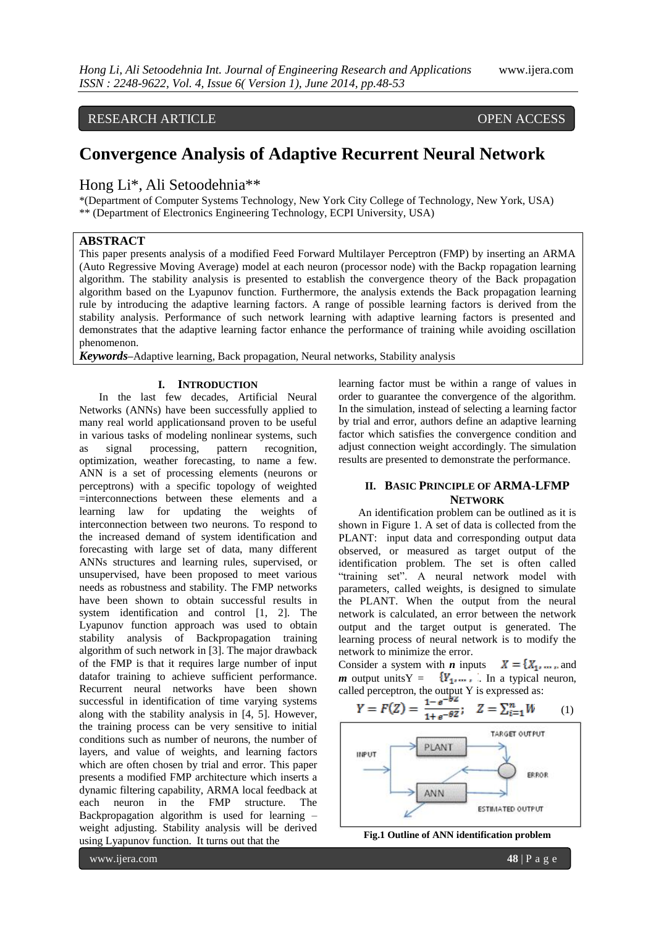## RESEARCH ARTICLE OPEN ACCESS

# **Convergence Analysis of Adaptive Recurrent Neural Network**

Hong Li\*, Ali Setoodehnia\*\*

\*(Department of Computer Systems Technology, New York City College of Technology, New York, USA) \*\* (Department of Electronics Engineering Technology, ECPI University, USA)

#### **ABSTRACT**

This paper presents analysis of a modified Feed Forward Multilayer Perceptron (FMP) by inserting an ARMA (Auto Regressive Moving Average) model at each neuron (processor node) with the Backp ropagation learning algorithm. The stability analysis is presented to establish the convergence theory of the Back propagation algorithm based on the Lyapunov function. Furthermore, the analysis extends the Back propagation learning rule by introducing the adaptive learning factors. A range of possible learning factors is derived from the stability analysis. Performance of such network learning with adaptive learning factors is presented and demonstrates that the adaptive learning factor enhance the performance of training while avoiding oscillation phenomenon.

*Keywords***–**Adaptive learning, Back propagation, Neural networks, Stability analysis

#### **I. INTRODUCTION**

In the last few decades, Artificial Neural Networks (ANNs) have been successfully applied to many real world applicationsand proven to be useful in various tasks of modeling nonlinear systems, such as signal processing, pattern recognition, optimization, weather forecasting, to name a few. ANN is a set of processing elements (neurons or perceptrons) with a specific topology of weighted =interconnections between these elements and a learning law for updating the weights of interconnection between two neurons. To respond to the increased demand of system identification and forecasting with large set of data, many different ANNs structures and learning rules, supervised, or unsupervised, have been proposed to meet various needs as robustness and stability. The FMP networks have been shown to obtain successful results in system identification and control [1, 2]. The Lyapunov function approach was used to obtain stability analysis of Backpropagation training algorithm of such network in [3]. The major drawback of the FMP is that it requires large number of input datafor training to achieve sufficient performance. Recurrent neural networks have been shown successful in identification of time varying systems along with the stability analysis in [4, 5]. However, the training process can be very sensitive to initial conditions such as number of neurons, the number of layers, and value of weights, and learning factors which are often chosen by trial and error. This paper presents a modified FMP architecture which inserts a dynamic filtering capability, ARMA local feedback at each neuron in the FMP structure. The Backpropagation algorithm is used for learning – weight adjusting. Stability analysis will be derived using Lyapunov function. It turns out that the

learning factor must be within a range of values in order to guarantee the convergence of the algorithm. In the simulation, instead of selecting a learning factor by trial and error, authors define an adaptive learning factor which satisfies the convergence condition and adjust connection weight accordingly. The simulation results are presented to demonstrate the performance.

### **II. BASIC PRINCIPLE OF ARMA-LFMP NETWORK**

An identification problem can be outlined as it is shown in Figure 1. A set of data is collected from the PLANT: input data and corresponding output data observed, or measured as target output of the identification problem. The set is often called "training set". A neural network model with parameters, called weights, is designed to simulate the PLANT. When the output from the neural network is calculated, an error between the network output and the target output is generated. The learning process of neural network is to modify the network to minimize the error.

Consider a system with *n* inputs  $X = \{X_1, ..., \dots\}$  and *m* output unitsY =  ${Y_1, ..., Y_n}$ . In a typical neuron, called perceptron, the output Y is expressed as:

$$
Y = F(Z) = \frac{1 - e^{-bz}}{1 + e^{-\theta Z}}; \quad Z = \sum_{i=1}^{n} W \tag{1}
$$





www.ijera.com **48** | P a g e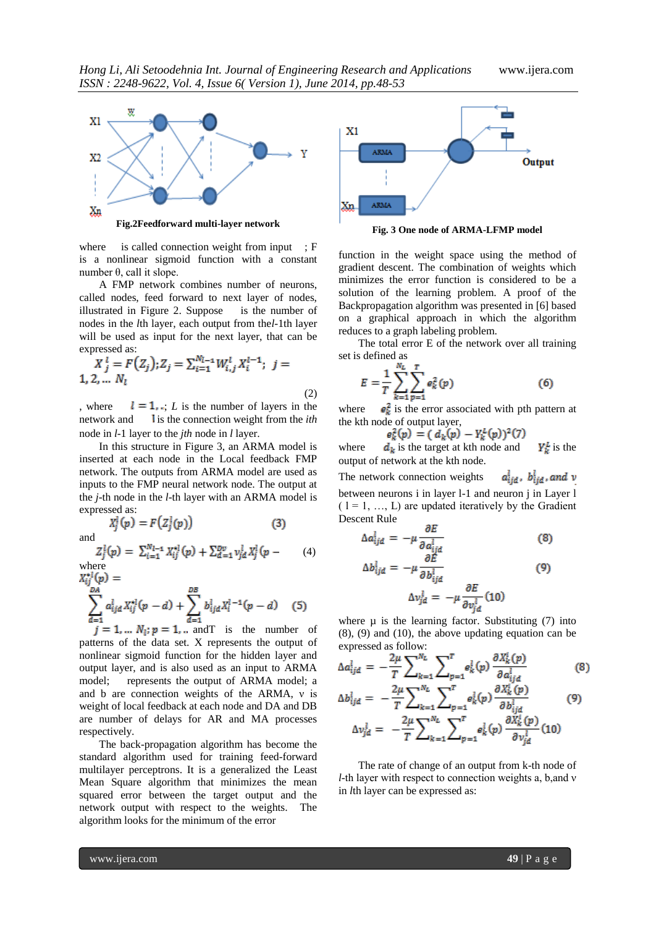

where is called connection weight from input ; F is a nonlinear sigmoid function with a constant number θ, call it slope.

A FMP network combines number of neurons, called nodes, feed forward to next layer of nodes, illustrated in Figure 2. Suppose is the number of nodes in the *l*th layer, each output from the*l-*1th layer will be used as input for the next layer, that can be expressed as:

$$
X_j^l = F(Z_j); Z_j = \sum_{i=1}^{N_{l-1}} W_{i,j}^l X_i^{l-1}; \ j = 1, 2, \dots N_l
$$
\n(2)

, where  $l = 1$ ,  $L$  is the number of layers in the network and **i**s the connection weight from the *ith* node in *l-*1 layer to the *jth* node in *l* layer.

In this structure in Figure 3, an ARMA model is inserted at each node in the Local feedback FMP network. The outputs from ARMA model are used as inputs to the FMP neural network node. The output at the *j*-th node in the *l*-th layer with an ARMA model is expressed as:

$$
X_j^l(p) = F(Z_j^l(p))
$$
 (3)

and

$$
Z_j^l(p) = \sum_{i=1}^{N_{l-1}} X_{ij}^{*l}(p) + \sum_{d=1}^{Dv} v_{jd}^l X_j^l(p - (4))
$$
  
here

where<br> $X_{ii}^{\bullet l}(p) =$ 

$$
\sum_{d=1}^{DA} a_{ijd}^l X_{ij}^{*l}(p-d) + \sum_{d=1}^{DB} b_{ijd}^l X_i^{l-1}(p-d) \quad (5)
$$

 $j = 1, \dots N_1; p = 1, \dots$  and T is the number of patterns of the data set. X represents the output of nonlinear sigmoid function for the hidden layer and output layer, and is also used as an input to ARMA model; represents the output of ARMA model; a and b are connection weights of the ARMA, ν is weight of local feedback at each node and DA and DB are number of delays for AR and MA processes respectively.

The back-propagation algorithm has become the standard algorithm used for training feed-forward multilayer perceptrons. It is a generalized the Least Mean Square algorithm that minimizes the mean squared error between the target output and the network output with respect to the weights. The algorithm looks for the minimum of the error



**Fig. 3 One node of ARMA-LFMP model**

function in the weight space using the method of gradient descent. The combination of weights which minimizes the error function is considered to be a solution of the learning problem. A proof of the Backpropagation algorithm was presented in [6] based on a graphical approach in which the algorithm reduces to a graph labeling problem.

The total error E of the network over all training set is defined as

$$
E = \frac{1}{T} \sum_{k=1}^{N_L} \sum_{p=1}^{T} e_k^2(p)
$$
 (6)

where  $\theta_k^2$  is the error associated with pth pattern at the kth node of output layer,

$$
e_k^2(p) = (d_k(p) - Y_k^L(p))^2(7)
$$

where  $\boldsymbol{d}_k$  is the target at kth node and  $\boldsymbol{V}_k^L$  is the output of network at the kth node.

 $a_{iid}^l$ ,  $b_{iid}^l$ , and  $v$ The network connection weights between neurons i in layer l-1 and neuron j in Layer l  $(1 = 1, ..., L)$  are updated iteratively by the Gradient Descent Rule

$$
\Delta a_{ijd}^l = -\mu \frac{\partial E}{\partial a_{ijd}^l} \tag{8}
$$

$$
\Delta b_{ijd}^l = -\mu \frac{\partial E}{\partial b_{ijd}^l}
$$
\n
$$
\Delta v_{jd}^l = -\mu \frac{\partial E}{\partial v_{jd}^l}
$$
\n(9)

l,

where  $\mu$  is the learning factor. Substituting (7) into (8), (9) and (10), the above updating equation can be expressed as follow:

$$
\Delta a_{ijd}^l = -\frac{2\mu}{T} \sum_{k=1}^{N_L} \sum_{p=1}^T e_k^l(p) \frac{\partial X_k^l(p)}{\partial a_{ijd}^l}
$$
(8)

$$
\Delta b_{ijd}^l = -\frac{2\mu}{T} \sum_{k=1}^{N_L} \sum_{p=1}^T e_k^l(p) \frac{\partial X_k^l(p)}{\partial b_{ijd}^l} \tag{9}
$$

$$
\Delta v_{jd}^l = -\frac{2\mu}{T} \sum_{k=1}^{N_L} \sum_{p=1}^T e_k^l(p) \frac{\partial X_k^l(p)}{\partial v_{jd}^l} \tag{10}
$$

The rate of change of an output from k-th node of *l*-th layer with respect to connection weights a, b,and ν in *l*th layer can be expressed as: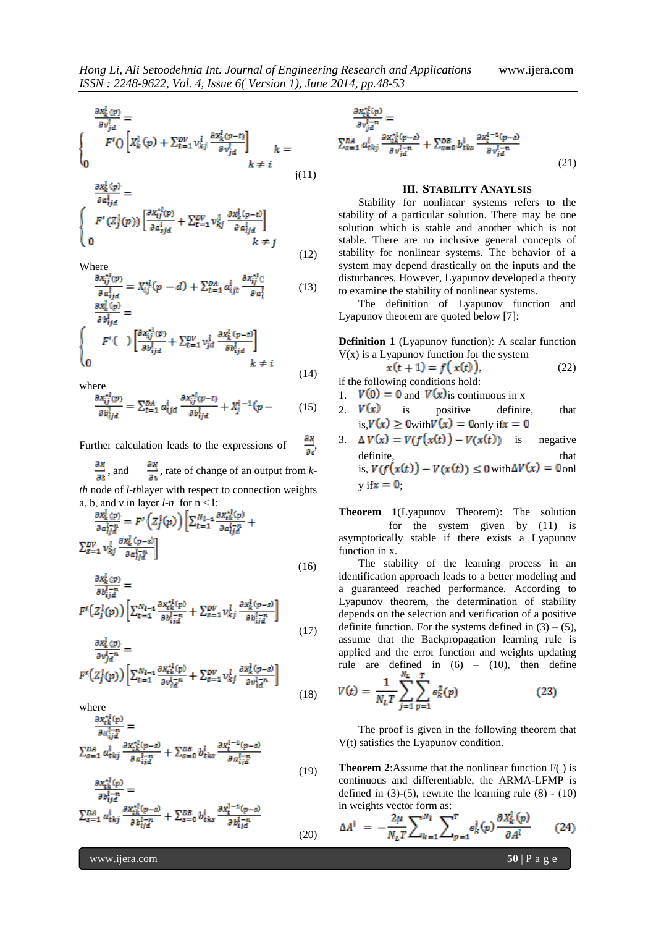(12)

(20)

$$
\frac{\partial x_k^l(p)}{\partial v_{jd}^l} =
$$
\n
$$
F' \bigcirc \left[ X_k^l(p) + \sum_{t=1}^{DV} v_{kj}^l \frac{\partial x_k^l(p-t)}{\partial v_{jd}^l} \right]_{k \neq i} =
$$

$$
\frac{\partial x_k^l(p)}{\partial a_{ijd}^l} = \n\begin{cases}\nF'(Z_j^l(p)) \left[ \frac{\partial x_{ij}^{*l}(p)}{\partial a_{ijd}^l} + \sum_{t=1}^{DV} v_{kj}^l \frac{\partial x_k^l(p-t)}{\partial a_{ijd}^l} \right] \\
0 & k \neq j\n\end{cases}
$$

Where

$$
\frac{\partial x_{ij}^{*l}(p)}{\partial a_{ij}^{l}} = X_{ij}^{*l}(p - d) + \sum_{t=1}^{DA} a_{ijt}^{l} \frac{\partial x_{ij}^{*l}(q)}{\partial a_{i}^{l}} \tag{13}
$$

$$
\frac{\partial x_k \overline{v} \overline{v}}{\partial b_{ijd}^l} = \left\{ \begin{array}{c} F' \left( \begin{array}{c} 0 & \sqrt{k_1} \overline{v} \overline{v} \end{array} \right) & \left[ \frac{\partial x_{ij}^{*l}(p)}{\partial b_{ijd}^l} + \sum_{t=1}^{DV} v_{jd}^l \frac{\partial x_k^l(p-t)}{\partial b_{ijd}^l} \right] & \end{array} \right. \right\}
$$
\n
$$
\begin{array}{c} k \neq i \end{array} \tag{14}
$$

where

$$
\frac{\partial x_{ij}^{*l}(p)}{\partial b_{ijd}^l} = \sum_{t=1}^{DA} a_{ijd}^l \frac{\partial x_{ij}^{*l}(p-t)}{\partial b_{ijd}^l} + X_j^{l-1}(p - (15))
$$

Further calculation leads to the expressions of  $\frac{\partial x}{\partial a}$ 

 $\frac{\partial x}{\partial t}$ , and  $\frac{\partial x}{\partial y}$ , rate of change of an output from *k*-

*th* node of *l-th*layer with respect to connection weights a, b, and v in layer  $l-n$  for  $n < l$ :

$$
\frac{\partial x_k^l(p)}{\partial a_{ij}^{l-n}} = F'\left(Z_j^l(p)\right) \left[\sum_{t=1}^{N_{l-1}} \frac{\partial x_{tk}^{l}(p)}{\partial a_{ij}^{l-n}} + \sum_{s=1}^{D_V} v_{kj}^l \frac{\partial x_k^l(p-s)}{\partial a_{ij}^{l-n}}\right]
$$
\n
$$
(16)
$$

$$
\frac{\partial x_k^i(p)}{\partial b_{ijd}^{l-n}} =
$$
\n
$$
F'(Z_j^l(p)) \left[ \sum_{t=1}^{N_{l-1}} \frac{\partial x_{tk}^{*l}(p)}{\partial b_{ijd}^{l-n}} + \sum_{s=1}^{DV} v_{kj}^l \frac{\partial x_k^l(p-s)}{\partial b_{ijd}^{l-n}} \right]
$$
\n
$$
\frac{\partial x_k^l(p)}{\partial b_{ijd}^{l-n}} \tag{17}
$$

$$
\frac{\partial v_{j\bar{d}}^{l-n}}{\partial v_{j\bar{d}}^{l-n}} =
$$
\n
$$
F'(Z_j^l(p)) \left[ \sum_{t=1}^{N_{l-1}} \frac{\partial x_{tk}^{l}(p)}{\partial v_{j\bar{d}}^{l-n}} + \sum_{s=1}^{DV} v_{kj}^l \frac{\partial x_k^l(p-s)}{\partial v_{j\bar{d}}^{l-n}} \right]
$$
\n(18)

where

$$
\frac{\partial x_{tk}^{*l}(p)}{\partial a_{ij}^{l-n}} =
$$
\n
$$
\sum_{s=1}^{DA} a_{tkj}^{l} \frac{\partial x_{tk}^{*l}(p-s)}{\partial a_{ij}^{l-n}} + \sum_{s=0}^{DB} b_{tks}^{l} \frac{\partial x_{t}^{l-1}(p-s)}{\partial a_{ij}^{l-n}}
$$
\n(19)

$$
\frac{\partial x_{tk}^{*l}(p)}{\partial b_{ij}^{l-n}} = \sum_{s=1}^{BA} a_{tkj}^{l} \frac{\partial x_{tk}^{*l}(p-s)}{\partial b_{ij}^{l-n}} + \sum_{s=0}^{DB} b_{tks}^{l} \frac{\partial x_{t}^{l-1}(p-s)}{\partial b_{ij}^{l-n}}
$$

$$
\frac{\partial x_{tk}^{*l}(p)}{\partial v_{ja}^{l-n}} = \sum_{g=1}^{\partial A} a_{tkj}^{l-n} \frac{\partial x_{tk}^{*l}(p-s)}{\partial v_{ja}^{l-n}} + \sum_{g=0}^{\partial B} b_{tkg}^{l} \frac{\partial x_{t}^{l-1}(p-s)}{\partial v_{ja}^{l-n}}
$$
\n
$$
(21)
$$

#### **III. STABILITY ANAYLSIS**

Stability for nonlinear systems refers to the stability of a particular solution. There may be one solution which is stable and another which is not stable. There are no inclusive general concepts of stability for nonlinear systems. The behavior of a system may depend drastically on the inputs and the disturbances. However, Lyapunov developed a theory to examine the stability of nonlinear systems.

The definition of Lyapunov function and Lyapunov theorem are quoted below [7]:

**Definition 1** (Lyapunov function): A scalar function  $V(x)$  is a Lyapunov function for the system

$$
x(t+1) = f(x(t)),
$$
 (22)

- if the following conditions hold: 1.  $V(0) = 0$  and  $V(x)$  is continuous in x
- 2.  $V(x)$  is positive definite, that is,  $V(x) \ge 0$ with  $V(x) = 0$  only if  $x = 0$
- 3.  $\Delta V(x) = V(f(x(t)) V(x(t))$  is negative definite, that that  $\frac{d}{dt}$ is,  $V(f(x(t)) - V(x(t)) \le 0$  with  $\Delta V(x) = 0$  onl  $y$  if  $x = 0$ ;

**Theorem 1**(Lyapunov Theorem): The solution for the system given by (11) is asymptotically stable if there exists a Lyapunov function in x.

The stability of the learning process in an identification approach leads to a better modeling and a guaranteed reached performance. According to Lyapunov theorem, the determination of stability depends on the selection and verification of a positive definite function. For the systems defined in  $(3) - (5)$ , assume that the Backpropagation learning rule is applied and the error function and weights updating rule are defined in  $(6) - (10)$ , then define N.  $\mathbf{r}$ 

$$
V(t) = \frac{1}{N_L T} \sum_{j=1}^{N} \sum_{p=1}^{N} e_k^2(p)
$$
 (23)

The proof is given in the following theorem that V(t) satisfies the Lyapunov condition.

**Theorem 2**:Assume that the nonlinear function  $F()$  is continuous and differentiable, the ARMA-LFMP is defined in  $(3)-(5)$ , rewrite the learning rule  $(8) - (10)$ in weights vector form as:

$$
\Delta A^l = -\frac{2\mu}{N_L T} \sum_{k=1}^{N_l} \sum_{p=1}^T e_k^l(p) \frac{\partial X_k^l(p)}{\partial A^l}
$$
 (24)

www.ijera.com **50** | P a g e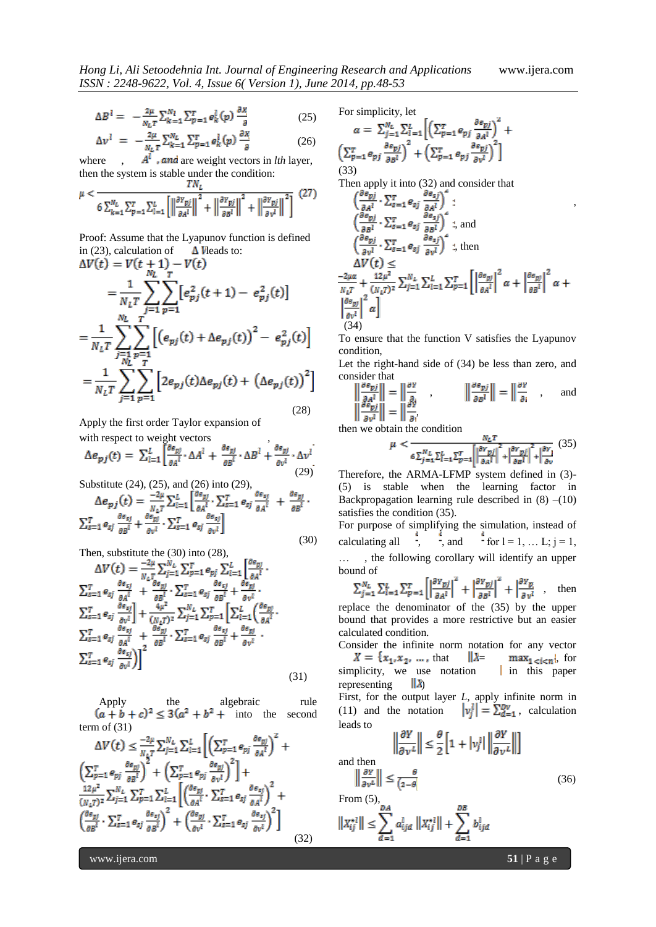,

$$
\Delta B^l = -\frac{2\mu}{N_L T} \sum_{k=1}^{N_l} \sum_{p=1}^{T} e_k^l(p) \frac{\partial x}{\partial p} \tag{25}
$$

$$
\Delta v^l = -\frac{2\mu}{N_L T} \sum_{k=1}^{N_L} \sum_{p=1}^{T} e_k^l(p) \frac{\partial x}{\partial}
$$
 (26)

where  $A<sup>t</sup>$ , and are weight vectors in *lth* layer, then the system is stable under the condition:

$$
\mu < \frac{1}{6} \sum_{k=1}^{N_L} \sum_{p=1}^{T} \sum_{l=1}^{L} \left[ \left\| \frac{\partial^{Y} p_{j}}{\partial A^{l}} \right\|^{2} + \left\| \frac{\partial^{Y} p_{j}}{\partial B^{l}} \right\|^{2} + \left\| \frac{\partial^{Y} p_{j}}{\partial \nu^{l}} \right\|^{2} \right] (27)
$$

Proof: Assume that the Lyapunov function is defined in (23), calculation of  $\Delta V$  leads to:<br> $\Delta V(t) = V(t+1) - V(t)$ 

$$
\Delta V(t) = V(t + M) - V(t)
$$
\n
$$
= \frac{1}{N_L T} \sum_{j=1}^{N_L} \sum_{p=1}^{T} [e_{pj}^2(t + 1) - e_{pj}^2(t)]
$$
\n
$$
= \frac{1}{N_L T} \sum_{\substack{j=1 \ j \in I}}^{N_L} \sum_{p=1}^{T} [(e_{pj}(t) + \Delta e_{pj}(t))^2 - e_{pj}^2(t)]
$$
\n
$$
= \frac{1}{N_L T} \sum_{j=1}^{N_L T} \sum_{p=1}^{T} [2e_{pj}(t) \Delta e_{pj}(t) + (\Delta e_{pj}(t))^2]
$$
\n(28)

Apply the first order Taylor expansion of

with respect to weight vectors  
\n
$$
\Delta e_{pj}(t) = \sum_{l=1}^{L} \left[ \frac{\partial e_{pj}}{\partial A^l} \cdot \Delta A^l + \frac{\partial e_{pj}}{\partial B^l} \cdot \Delta B^l + \frac{\partial e_{pj}}{\partial v^l} \cdot \Delta v^l \right]
$$
\n(29)

Substitute (24), (25), and (26) into (29),

$$
\Delta e_{pj}(t) = \frac{-2\mu}{N_L T} \sum_{l=1}^{L} \left[ \frac{\partial \epsilon_{pj}}{\partial A^l} \cdot \sum_{s=1}^{T} e_{sj} \frac{\partial \epsilon_{sj}}{\partial A^l} + \frac{\partial \epsilon_{pj}}{\partial B^l} \cdot \right]
$$

$$
\sum_{s=1}^{T} e_{sj} \frac{\partial \epsilon_{sj}}{\partial B^l} + \frac{\partial \epsilon_{pj}}{\partial v^l} \cdot \sum_{s=1}^{T} e_{sj} \frac{\partial \epsilon_{sj}}{\partial v^l} \right]
$$
(30)

Then, substitute the (30) into (28),

$$
\Delta V(t) = \frac{-2\mu}{N_L T} \sum_{j=1}^{N_L} \sum_{p=1}^{T} e_{pj} \sum_{l=1}^{L} \left[ \frac{\partial e_{pj}}{\partial A^l} \right] \cdot \sum_{s=1}^{T} e_{sj} \frac{\partial e_{sj}}{\partial A^l} + \frac{\partial e_{pj}}{\partial B^l} \cdot \sum_{s=1}^{T} e_{sj} \frac{\partial e_{sj}}{\partial B^l} + \frac{\partial e_{pj}}{\partial V^l} \cdot \sum_{s=1}^{T} e_{sj} \frac{\partial e_{sj}}{\partial B^l} + \frac{2\mu}{\mu V^l} \cdot \sum_{s=1}^{T} e_{sj} \frac{\partial e_{sj}}{\partial A^l} + \frac{4\mu^2}{(N_L T)^2} \sum_{j=1}^{N_L} \sum_{p=1}^{T} \left[ \sum_{l=1}^{L} \left( \frac{\partial e_{pj}}{\partial A^l} \right) \cdot \sum_{s=1}^{T} e_{sj} \frac{\partial e_{sj}}{\partial A^l} + \frac{\partial e_{pj}}{\partial B^l} \cdot \sum_{s=1}^{T} e_{sj} \frac{\partial e_{sj}}{\partial B^l} + \frac{\partial e_{pj}}{\partial V^l} \cdot \right]
$$
\n
$$
\sum_{s=1}^{T} e_{sj} \frac{\partial e_{sj}}{\partial V^l} \Big) \Bigg]^2 \tag{31}
$$

Apply the algebraic rule  $(a + b + c)^2 \le 3(a^2 + b^2 + \text{into} \text{ the second})$ term of  $(31)$ 

$$
\Delta V(t) \leq \frac{-2\mu}{N_L T} \sum_{j=1}^{N_L} \sum_{l=1}^{L} \left[ \left( \sum_{p=1}^{T} e_{pj} \frac{\partial e_{pj}}{\partial A^l} \right)^2 + \left( \sum_{p=1}^{T} e_{pj} \frac{\partial e_{pj}}{\partial B^l} \right)^2 + \left( \sum_{p=1}^{T} e_{pj} \frac{\partial e_{pj}}{\partial y^l} \right)^2 \right] + \frac{12\mu^2}{(N_L T)^2} \sum_{j=1}^{N_L} \sum_{p=1}^{T} \sum_{l=1}^{L} \left[ \left( \frac{\partial e_{pj}}{\partial A^l} \cdot \sum_{s=1}^{T} e_{sj} \frac{\partial e_{sj}}{\partial A^l} \right)^2 + \left( \frac{\partial e_{pj}}{\partial B^l} \cdot \sum_{s=1}^{T} e_{sj} \frac{\partial e_{sj}}{\partial y^l} \right)^2 \right]
$$
\n(32)

For simplicity, let

$$
\alpha = \sum_{j=1}^{N_L} \sum_{l=1}^{L} \left[ \left( \sum_{p=1}^{T} e_{pj} \frac{\partial e_{pj}}{\partial A^l} \right)^2 + \left( \sum_{p=1}^{T} e_{pj} \frac{\partial e_{pj}}{\partial B^l} \right)^2 + \left( \sum_{p=1}^{T} e_{pj} \frac{\partial e_{pj}}{\partial y^l} \right)^2 \right]
$$
\n(33)

Then apply it into (32) and consider that

$$
\begin{aligned}\n&\left(\frac{\partial e_{pj}}{\partial A^l}\cdot \sum_{s=1}^T e_{sj}\frac{\partial e_{sj}}{\partial A^l}\right) : \\
&\left(\frac{\partial e_{pj}}{\partial B^l}\cdot \sum_{s=1}^T e_{sj}\frac{\partial e_{sj}}{\partial B^l}\right)^2 ; \text{ and} \\
&\left(\frac{\partial e_{pj}}{\partial v^l}\cdot \sum_{s=1}^T e_{sj}\frac{\partial e_{sj}}{\partial v^l}\right)^2 ; \text{ then} \\
&\Delta V(t) \leq \\
&\frac{-2\mu\alpha}{N_L T} + \frac{12\mu^2}{(N_L T)^2} \sum_{j=1}^{N_L} \sum_{l=1}^L \sum_{p=1}^T \left[\left|\frac{\partial e_{pj}}{\partial A^l}\right|^2 \alpha + \left|\frac{\partial e_{pj}}{\partial B^l}\right|^2 \alpha + \left|\frac{\partial e_{pj}}{\partial B^l}\right|^2 \alpha\right]\n& (34)\n\end{aligned}
$$

To ensure that the function V satisfies the Lyapunov condition,

Let the right-hand side of (34) be less than zero, and consider that j.  $\mathcal{L}$ 

$$
\left\| \frac{\partial e_{pj}}{\partial A^l} \right\| = \left\| \frac{\partial Y}{\partial v} \right\|_{\mathcal{B}^l} , \qquad \left\| \frac{\partial e_{pj}}{\partial B^l} \right\| = \left\| \frac{\partial Y}{\partial i} \right\|_{\mathcal{B}^l} , \qquad \text{and}
$$

then we obtain the condition

$$
\mu < \frac{N_L T}{\delta \sum_{j=1}^{N_L} \sum_{l=1}^{L} \sum_{p=1}^{T} \left[ \left| \frac{\partial^Y p_j}{\partial a^l} \right|^2 + \left| \frac{\partial^Y p_j}{\partial b^l} \right|^2 + \left| \frac{\partial Y}{\partial v} \right|^2 \right]} \tag{35}
$$

Therefore, the ARMA-LFMP system defined in (3)- (5) is stable when the learning factor in Backpropagation learning rule described in  $(8)$  – $(10)$ satisfies the condition (35).

For purpose of simplifying the simulation, instead of calculating all  $\frac{1}{2}$ ,  $\frac{1}{2}$ , and  $\frac{1}{2}$  for  $l = 1, \ldots L; j = 1$ , … , the following corollary will identify an upper bound of

$$
\sum_{j=1}^{N_L} \sum_{l=1}^{L} \sum_{p=1}^{T} \left[ \left| \frac{\partial r_{pj}}{\partial a^l} \right|^2 + \left| \frac{\partial r_{pj}}{\partial b^l} \right|^2 + \left| \frac{\partial r_p}{\partial v^l} \right|, \text{ then}
$$

replace the denominator of the (35) by the upper bound that provides a more restrictive but an easier calculated condition.

Consider the infinite norm notation for any vector  $X = \{x_1, x_2, \dots, \text{that} \quad \|\lambda = \max_{1 \le i \le n}\},\text{ for }$ simplicity, we use notation  $\parallel$  in this paper representing  $||\lambda\rangle$ 

First, for the output layer *L*, apply infinite norm in (11) and the notation  $v_i^l = \sum_{d=1}^{D\nu}$ , calculation leads to

$$
\left\|\frac{\partial Y}{\partial v^L}\right\| \le \frac{\theta}{2} \left[1 + |v_j^L| \left\|\frac{\partial Y}{\partial v^L}\right\|\right]
$$
 and then

$$
\left\|\frac{\partial Y}{\partial v^L}\right\| \le \frac{\theta}{\left(2-\theta\right)}
$$
\n(36)

$$
\begin{aligned} &\text{From}\;(\mathbf{5}),\\ &\left\Vert X_{ij}^{\star 1}\right\Vert \leq\sum_{d=1}^{DA}a_{ijd}^{l}\;\left\Vert X_{ij}^{\star 1}\right\Vert +\sum_{d=1}^{DB}b_{ijd}^{l} \end{aligned}
$$

www.ijera.com **51** | P a g e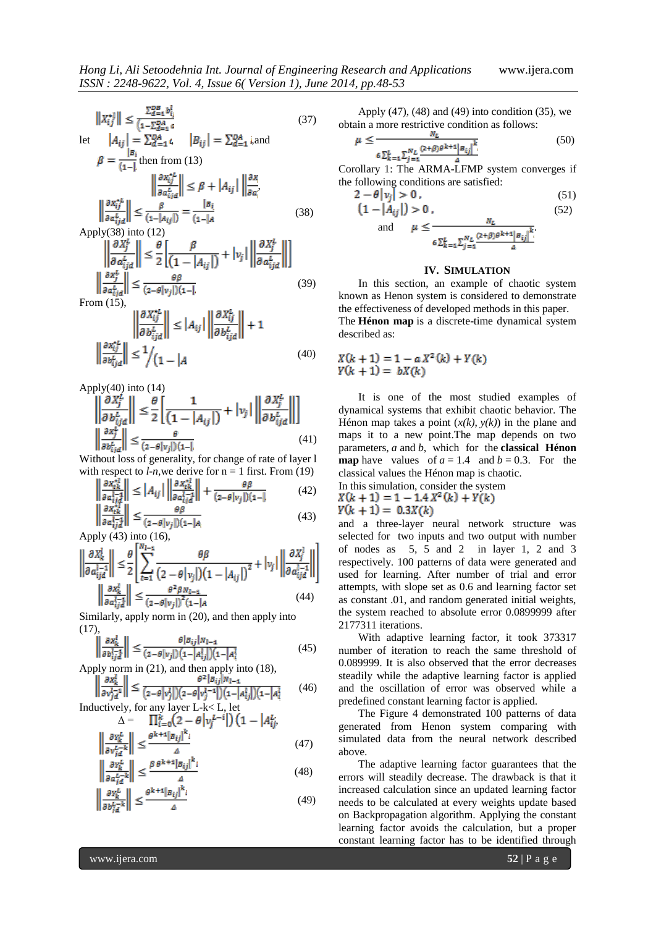$$
||X_{ij}^{*l}|| \le \frac{\sum_{d=1}^{DB} b_{ij}^l}{(1-\sum_{d=1}^{DA} a)}
$$
(37)  
let  $|A_{ij}| = \sum_{d=1}^{DA} t$ ,  $|B_{ij}| = \sum_{d=1}^{DA} i$ , and  

$$
\beta = \frac{|B_i|}{(1-1)}
$$
 then from (13)  

$$
||\frac{\partial x_{ij}^{*L}}{\partial a_{ij}^L}|| \le \beta + |A_{ij}| ||\frac{\partial x}{\partial a_i}
$$
  

$$
||\frac{\partial x_{ij}^{*L}}{\partial a_{ij}^L}|| \le \frac{\beta}{(1-|A_{ij}|)} = \frac{|B_i|}{(1-|A|)}
$$
(38)  
Apply(38) into (12)

$$
\left\| \frac{\partial X_j^L}{\partial a_{ijd}^L} \right\| \le \frac{\theta}{2} \left[ \frac{\beta}{\left(1 - |A_{ij}| \right)} + |v_j| \left\| \frac{\partial X_j^L}{\partial a_{ijd}^L} \right\| \right]
$$

$$
\left\| \frac{\partial X_j^L}{\partial a_{ijd}^L} \right\| \le \frac{\theta \beta}{(2 - \theta |v_j|)(1 - 1)} \tag{39}
$$

$$
\left\| \frac{\partial X_{ij}^{*L}}{\partial b_{ijd}^L} \right\| \le |A_{ij}| \left\| \frac{\partial X_{ij}^L}{\partial b_{ijd}^L} \right\| + 1
$$
  

$$
\left\| \frac{\partial X_{ij}^{*L}}{\partial b_{ijd}^L} \right\| \le \frac{1}{\left(1 - |A| \right)} \tag{40}
$$

Apply $(40)$  into  $(14)$ 

$$
\left\| \frac{\partial X_j^L}{\partial b_{ijd}^L} \right\| \le \frac{\theta}{2} \left[ \frac{1}{\left( 1 - |A_{ij}| \right)} + |v_j| \left\| \frac{\partial X_j^L}{\partial b_{ijd}^L} \right\| \right]
$$
  

$$
\left\| \frac{\partial x_j^L}{\partial b_{ijd}^L} \right\| \le \frac{\theta}{(2 - \theta |v_j|)(1 - 1)} \tag{41}
$$

Without loss of generality, for change of rate of layer l with respect to  $l$ -*n*, we derive for  $n = 1$  first. From (19)

$$
\left\| \frac{\frac{\partial x_{tk}^{\star l}}{\partial a_{ij}^{l-1}}}{\frac{\partial x_{tk}^{\star l}}{\partial a_{ij}^{l-1}} \right\|} \le |A_{ij}| \left\| \frac{\frac{\partial x_{tk}^{\star l}}{\partial a_{ij}^{l-1}}}{\frac{\partial x_{tk}^{\star l}}{\partial a_{ij}^{l-1}} \right\|} + \frac{\theta \beta}{(2 - \theta |v_j|)(1 - l)} \tag{42}
$$
\n
$$
\left\| \frac{\frac{\partial x_{tk}^{\star l}}{\partial a_{ij}^{l-1}}}{\frac{\partial x_{tk}^{\star l}}{\partial a_{ij}^{l-1}} \right\|} \le \frac{\theta \beta}{(2 - \theta |v_j|)(1 - |A|)} \tag{43}
$$

Apply (43) into (16),

$$
\left\| \frac{\partial X_k^i}{\partial a_{ijd}^{i-1}} \right\| \leq \frac{\theta}{2} \left\| \sum_{t=1}^{N_{l-1}} \frac{\theta \beta}{\left(2 - \theta \, \vert \, v_j \vert\right) \left(1 - \left| A_{ij} \right| \right)^2} + \left| v_j \right| \left\| \frac{\partial X_j^i}{\partial a_{ijd}^{i-1}} \right\| \right\}
$$
\n
$$
\left\| \frac{\partial X_k^i}{\partial a_{ijd}^{i-1}} \right\| \leq \frac{\theta^2 \beta N_{l-1}}{\left(2 - \theta \, \vert \, v_j \vert\right)^2 \left(1 - \vert A_{ij} \vert\right)^2} \tag{44}
$$

Similarly, apply norm in (20), and then apply into (17),

$$
\left\| \frac{\partial x_k^l}{\partial b_{ij}^{l-1}} \right\| \le \frac{\theta |B_{ij}| N_{l-1}}{(2 - \theta |v_j|) \left(1 - \left| A_{ij}^l \right| \right) \left(1 - \left| A_i^l \right| \right)} \tag{45}
$$

Apply norm in (21), and then apply into (18),

$$
\left\| \frac{\partial x_k}{\partial v_{j\alpha}^{l-1}} \right\| \le \frac{\partial^2 |B_{ij}|^N}{\partial v_{j\alpha}^{l-1}} \left( \frac{2 - \theta |v_j^l|}{2 - \theta |v_j^l|} \right) \left( 1 - |A_{ij}^l| \right) \left( 1 - |A_i^l| \right) \tag{46}
$$
\n
$$
\text{Inductively, for any layer } L - k < L, \text{ let}
$$

1. Let  
α = 
$$
\prod_{i=0}^{k} (2 - \theta |v_j^{L-i}|) (1 - |A_{ij}^L)
$$
.

$$
\left| \frac{\partial v_k^L}{\partial v_{j\bar{d}}^{L-k}} \right| \le \frac{\theta^{k+1} |\bar{B}_{ij}|^k}{4} \tag{47}
$$

$$
\left\| \frac{\partial v_k^L}{\partial a_{i\bar{d}}^{L-k}} \right\| \le \frac{\beta \theta^{k+1} |\bar{b}_{ij}|^k}{4} \tag{48}
$$

$$
\left\| \frac{\partial v_k^L}{\partial b_{i\bar{d}}^{L-k}} \right\| \le \frac{\theta^{k+1} |\bar{B}_{ij}|^k}{4} \tag{49}
$$

Apply (47), (48) and (49) into condition (35), we obtain a more restrictive condition as follows:

$$
u \le \frac{N_L}{6 \sum_{k=1}^{L} \sum_{j=1}^{N_L} \frac{(2+\beta)\theta^{k+1} |B_{ij}|^k}{\Delta}} \tag{50}
$$

Corollary 1: The ARMA-LFMP system converges if the following conditions are satisfied:

$$
2 - \theta |\nu_j| > 0, \tag{51}
$$
  

$$
\left(1 - |\mathbf{A}_{ij}|\right) > 0, \tag{52}
$$

and 
$$
\mu \le \frac{N_L}{6 \sum_{k=1}^{L} \sum_{j=1}^{N_L} \frac{(2+\beta)\theta^{k+1} |B_{ij}|^k}{4}}
$$

#### **IV. SIMULATION**

In this section, an example of chaotic system known as Henon system is considered to demonstrate the effectiveness of developed methods in this paper. The **Hénon map** is a discrete-time dynamical system described as:

$$
X(k + 1) = 1 - a X2(k) + Y(k)
$$
  
 
$$
Y(k + 1) = bX(k)
$$

It is one of the most studied examples of dynamical systems that exhibit chaotic behavior. The Hénon map takes a point  $(x(k), y(k))$  in the plane and maps it to a new point.The map depends on two parameters, *a* and *b*, which for the **classical Hénon map** have values of  $a = 1.4$  and  $b = 0.3$ . For the classical values the Hénon map is chaotic. In this simulation, consider the system

$$
X(k + 1) = 1 - 1.4 X^2(k) + Y(k)
$$
  
  $Y(k + 1) = 0.3X(k)$ 

and a three-layer neural network structure was selected for two inputs and two output with number of nodes as 5, 5 and 2 in layer 1, 2 and 3 respectively. 100 patterns of data were generated and used for learning. After number of trial and error attempts, with slope set as 0.6 and learning factor set as constant .01, and random generated initial weights, the system reached to absolute error 0.0899999 after 2177311 iterations.

With adaptive learning factor, it took 373317 number of iteration to reach the same threshold of 0.089999. It is also observed that the error decreases steadily while the adaptive learning factor is applied and the oscillation of error was observed while a predefined constant learning factor is applied.

The Figure 4 demonstrated 100 patterns of data generated from Henon system comparing with simulated data from the neural network described above.

The adaptive learning factor guarantees that the errors will steadily decrease. The drawback is that it increased calculation since an updated learning factor needs to be calculated at every weights update based on Backpropagation algorithm. Applying the constant learning factor avoids the calculation, but a proper constant learning factor has to be identified through